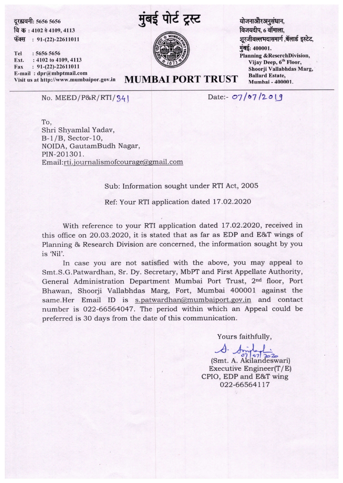दूरह्यवनी: 5656 5656 fa 5 : 4102 a 4io9, 4113

फॅक्स:  $91-(22)-22611011$ 

Tel : 5656 5656 Ext. : 4102 to 4109, 4113 Fax : 91-(22)-22611011 E-mail: dpr@mbptmail.com<br>Visit us at http://www.mumbaipor.gov.in



**MUMBAI PORT TRUST** 

योजनाऔरअनुसंधान, विजयदीप, 6 वॉमाला, शूरजीवल्लभदासमार्ग ,बॅलार्ड इस्टेट, मुंबई: 400001. Planning &ReserchDivision, Vijay Deep, 6<sup>th</sup> Floor, Shoorji Vallabhdas Marg, **Ballard Estate,** Mumhai -400001.

No. MEED/P&R/RTI/ 34 I

Date:-  $07 / 07 / 2019$ 

TO, Shri Shyanlal Yadav, 8-1/8, Sector-10, NOIDA, GautamBudh Nagar, PIN-201301.  $Email:rti.$ journalismofcourage@gmail.com

## Sub: Information sought under RTI Act, 2005

Ref: Your RTI application dated 17.02.2020

With reference to your RTI application dated 17.02.2020, received in this office on 20.03.2020, it is stated that as far as EDP and E&T wings of Planning & Research Division are concerned, the information sought by you is 'Nil'.

In case you are not satisfied with the above, you may appeal to Smt.S.G.Patwardhan, Sr. Dy. Secretary, MbPT and First Appellate Authority, General Administration Department Mumbai Port Trust, 2nd floor, Port Bhawan, Shoorji Vallabhdas Marg, Fort, Mumbai 400001 against the same.Her Email ID is s.patwardhan@mumbaiport.gov.in and contact number is 022-66564047. The period within which an Appeal could be preferred is 30 days from the date of this communication.

Yours faithfully,

 $\mathcal{A}$ (Smt. A. Akilandeswari) Executive Engineer(T/ E) CPIO, EDP and E&T wing 022-66564117